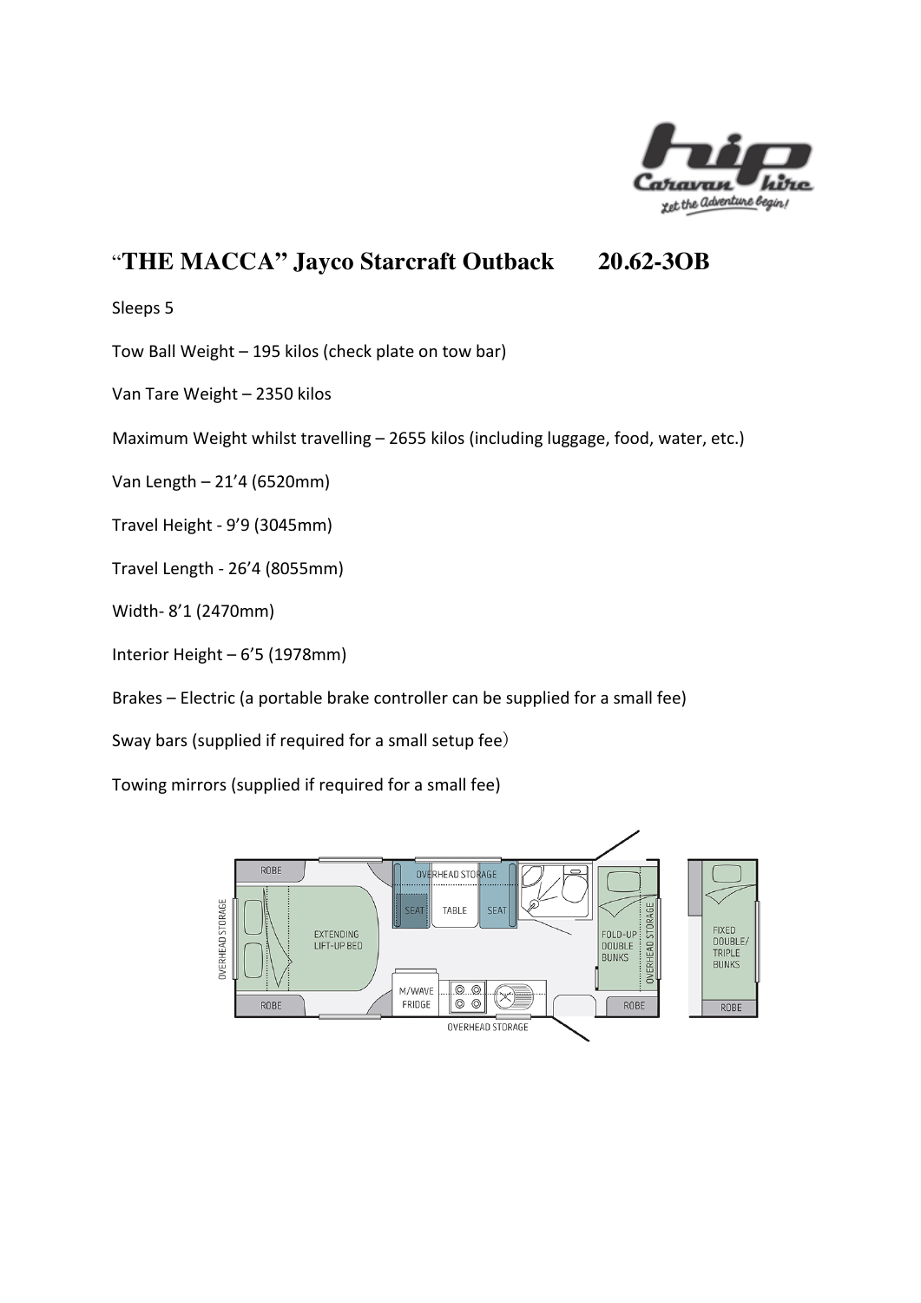

# "**THE MACCA" Jayco Starcraft Outback 20.62-3OB**

Sleeps 5

Tow Ball Weight - 195 kilos (check plate on tow bar)

Van Tare Weight - 2350 kilos

Maximum Weight whilst travelling  $-$  2655 kilos (including luggage, food, water, etc.)

Van Length – 21'4 (6520mm)

Travel Height - 9'9 (3045mm)

Travel Length - 26'4 (8055mm)

Width- 8'1 (2470mm)

Interior Height  $-6'5$  (1978mm)

Brakes – Electric (a portable brake controller can be supplied for a small fee)

Sway bars (supplied if required for a small setup fee)

Towing mirrors (supplied if required for a small fee)